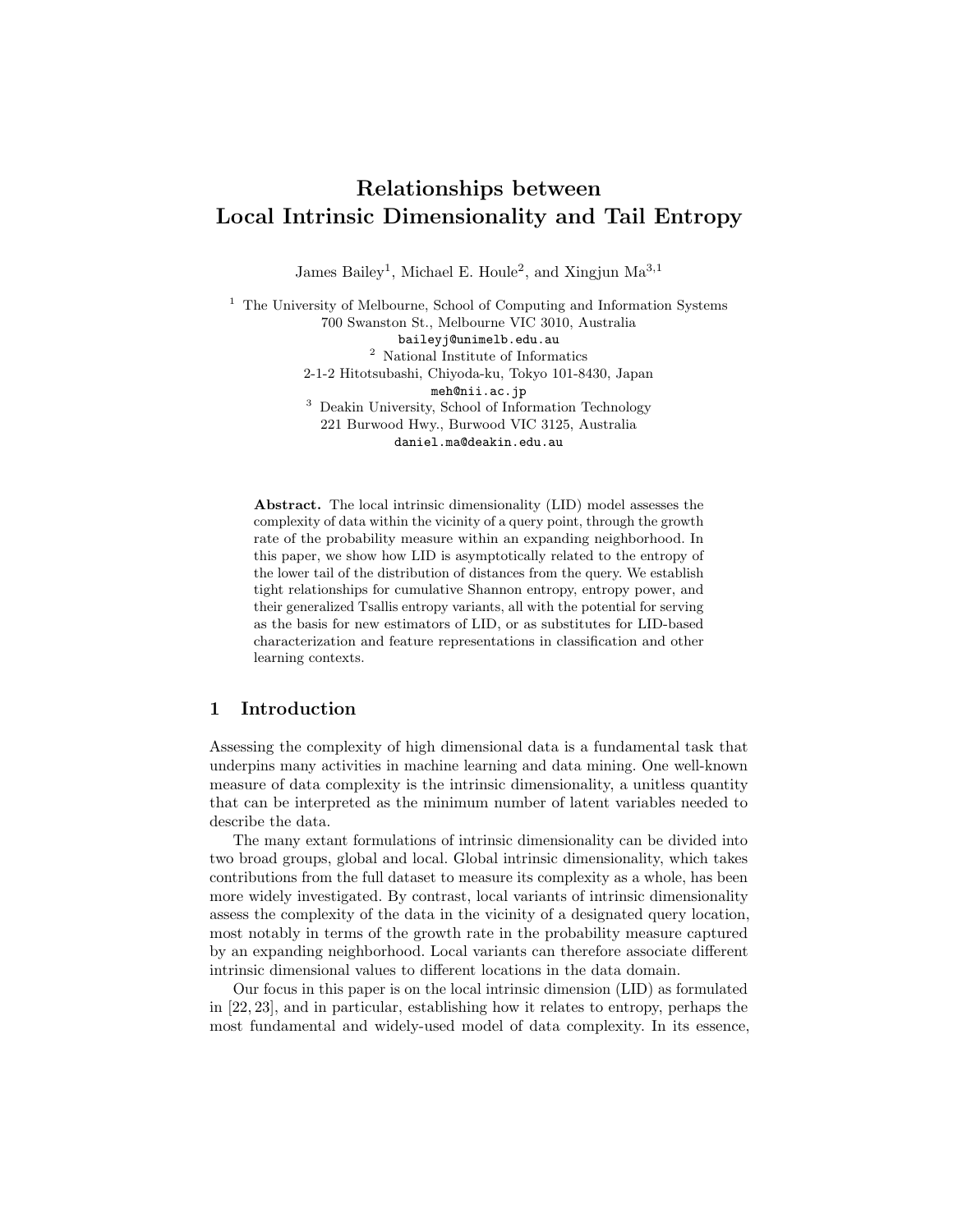# Relationships between Local Intrinsic Dimensionality and Tail Entropy

James Bailey<sup>1</sup>, Michael E. Houle<sup>2</sup>, and Xingjun  $Ma^{3,1}$ 

 $^{\rm 1}$  The University of Melbourne, School of Computing and Information Systems 700 Swanston St., Melbourne VIC 3010, Australia baileyj@unimelb.edu.au <sup>2</sup> National Institute of Informatics 2-1-2 Hitotsubashi, Chiyoda-ku, Tokyo 101-8430, Japan meh@nii.ac.jp <sup>3</sup> Deakin University, School of Information Technology 221 Burwood Hwy., Burwood VIC 3125, Australia

daniel.ma@deakin.edu.au

Abstract. The local intrinsic dimensionality (LID) model assesses the complexity of data within the vicinity of a query point, through the growth rate of the probability measure within an expanding neighborhood. In this paper, we show how LID is asymptotically related to the entropy of the lower tail of the distribution of distances from the query. We establish tight relationships for cumulative Shannon entropy, entropy power, and their generalized Tsallis entropy variants, all with the potential for serving as the basis for new estimators of LID, or as substitutes for LID-based characterization and feature representations in classification and other learning contexts.

# 1 Introduction

Assessing the complexity of high dimensional data is a fundamental task that underpins many activities in machine learning and data mining. One well-known measure of data complexity is the intrinsic dimensionality, a unitless quantity that can be interpreted as the minimum number of latent variables needed to describe the data.

The many extant formulations of intrinsic dimensionality can be divided into two broad groups, global and local. Global intrinsic dimensionality, which takes contributions from the full dataset to measure its complexity as a whole, has been more widely investigated. By contrast, local variants of intrinsic dimensionality assess the complexity of the data in the vicinity of a designated query location, most notably in terms of the growth rate in the probability measure captured by an expanding neighborhood. Local variants can therefore associate different intrinsic dimensional values to different locations in the data domain.

Our focus in this paper is on the local intrinsic dimension (LID) as formulated in [22, 23], and in particular, establishing how it relates to entropy, perhaps the most fundamental and widely-used model of data complexity. In its essence,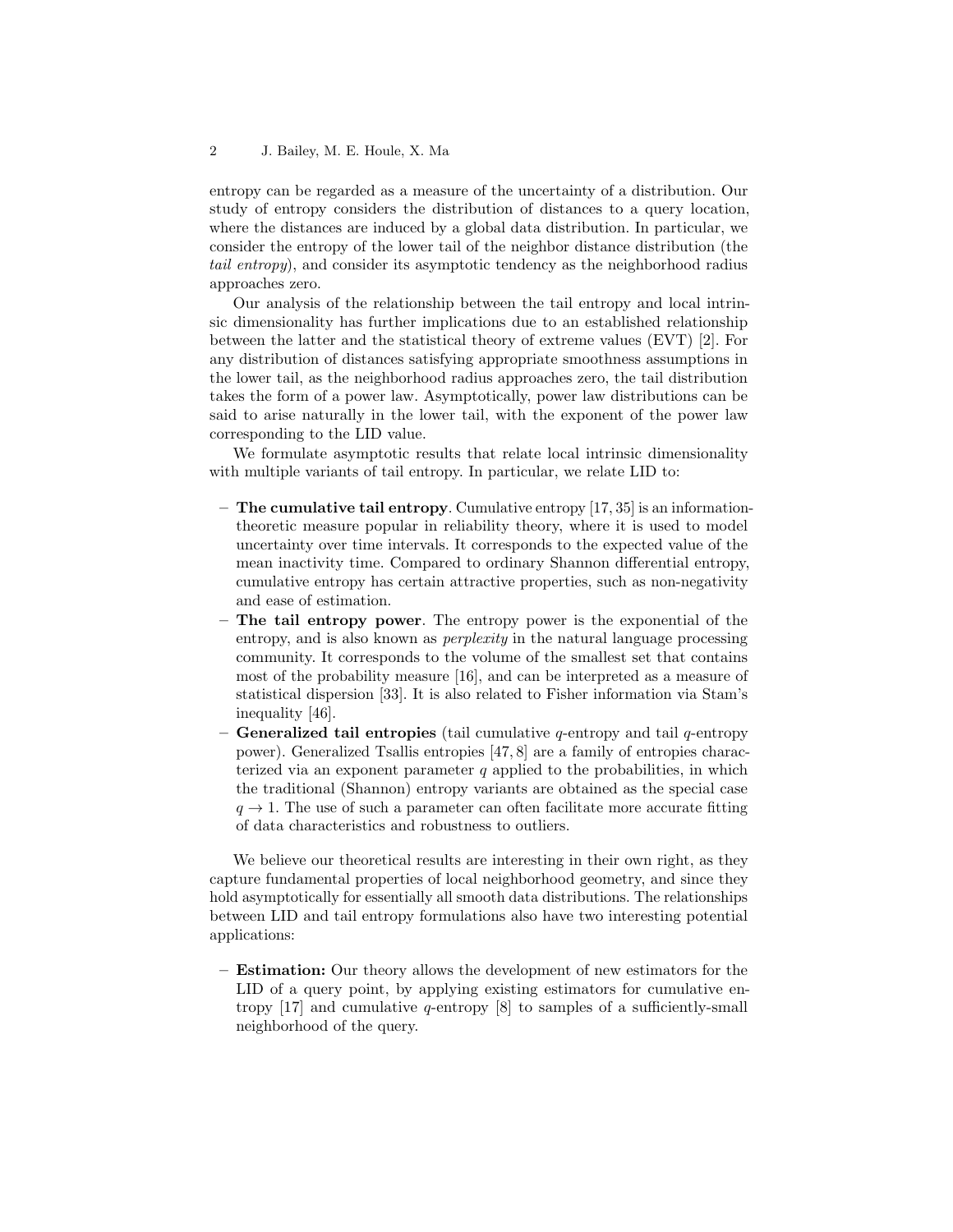entropy can be regarded as a measure of the uncertainty of a distribution. Our study of entropy considers the distribution of distances to a query location, where the distances are induced by a global data distribution. In particular, we consider the entropy of the lower tail of the neighbor distance distribution (the tail entropy), and consider its asymptotic tendency as the neighborhood radius approaches zero.

Our analysis of the relationship between the tail entropy and local intrinsic dimensionality has further implications due to an established relationship between the latter and the statistical theory of extreme values (EVT) [2]. For any distribution of distances satisfying appropriate smoothness assumptions in the lower tail, as the neighborhood radius approaches zero, the tail distribution takes the form of a power law. Asymptotically, power law distributions can be said to arise naturally in the lower tail, with the exponent of the power law corresponding to the LID value.

We formulate asymptotic results that relate local intrinsic dimensionality with multiple variants of tail entropy. In particular, we relate LID to:

- $-$  The cumulative tail entropy. Cumulative entropy [17, 35] is an informationtheoretic measure popular in reliability theory, where it is used to model uncertainty over time intervals. It corresponds to the expected value of the mean inactivity time. Compared to ordinary Shannon differential entropy, cumulative entropy has certain attractive properties, such as non-negativity and ease of estimation.
- The tail entropy power. The entropy power is the exponential of the entropy, and is also known as perplexity in the natural language processing community. It corresponds to the volume of the smallest set that contains most of the probability measure [16], and can be interpreted as a measure of statistical dispersion [33]. It is also related to Fisher information via Stam's inequality [46].
- Generalized tail entropies (tail cumulative q-entropy and tail q-entropy power). Generalized Tsallis entropies [47, 8] are a family of entropies characterized via an exponent parameter  $q$  applied to the probabilities, in which the traditional (Shannon) entropy variants are obtained as the special case  $q \rightarrow 1$ . The use of such a parameter can often facilitate more accurate fitting of data characteristics and robustness to outliers.

We believe our theoretical results are interesting in their own right, as they capture fundamental properties of local neighborhood geometry, and since they hold asymptotically for essentially all smooth data distributions. The relationships between LID and tail entropy formulations also have two interesting potential applications:

– Estimation: Our theory allows the development of new estimators for the LID of a query point, by applying existing estimators for cumulative entropy  $[17]$  and cumulative q-entropy  $[8]$  to samples of a sufficiently-small neighborhood of the query.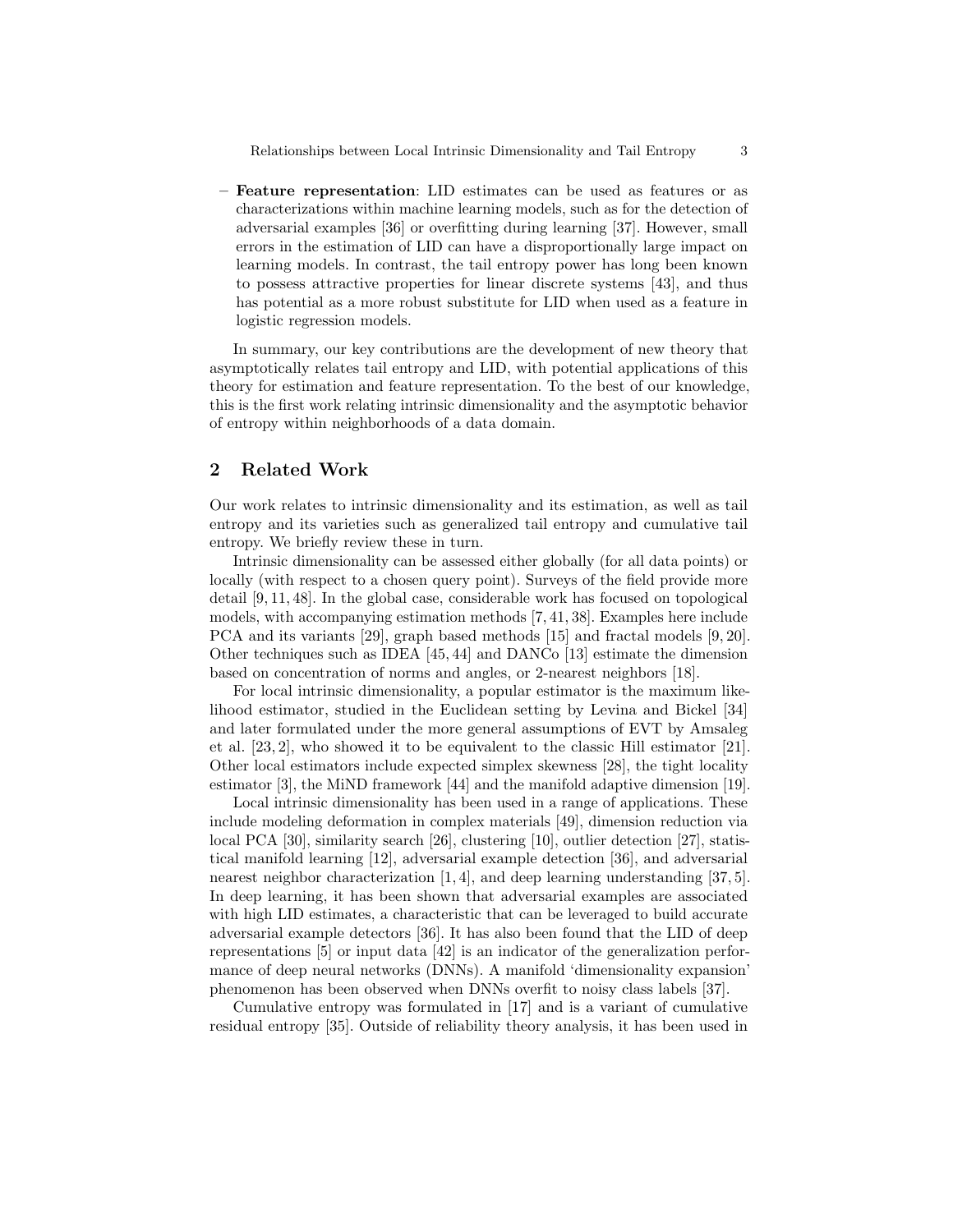Relationships between Local Intrinsic Dimensionality and Tail Entropy 3

– Feature representation: LID estimates can be used as features or as characterizations within machine learning models, such as for the detection of adversarial examples [36] or overfitting during learning [37]. However, small errors in the estimation of LID can have a disproportionally large impact on learning models. In contrast, the tail entropy power has long been known to possess attractive properties for linear discrete systems [43], and thus has potential as a more robust substitute for LID when used as a feature in logistic regression models.

In summary, our key contributions are the development of new theory that asymptotically relates tail entropy and LID, with potential applications of this theory for estimation and feature representation. To the best of our knowledge, this is the first work relating intrinsic dimensionality and the asymptotic behavior of entropy within neighborhoods of a data domain.

# 2 Related Work

Our work relates to intrinsic dimensionality and its estimation, as well as tail entropy and its varieties such as generalized tail entropy and cumulative tail entropy. We briefly review these in turn.

Intrinsic dimensionality can be assessed either globally (for all data points) or locally (with respect to a chosen query point). Surveys of the field provide more detail [9, 11, 48]. In the global case, considerable work has focused on topological models, with accompanying estimation methods [7, 41, 38]. Examples here include PCA and its variants [29], graph based methods [15] and fractal models [9, 20]. Other techniques such as IDEA [45, 44] and DANCo [13] estimate the dimension based on concentration of norms and angles, or 2-nearest neighbors [18].

For local intrinsic dimensionality, a popular estimator is the maximum likelihood estimator, studied in the Euclidean setting by Levina and Bickel [34] and later formulated under the more general assumptions of EVT by Amsaleg et al. [23, 2], who showed it to be equivalent to the classic Hill estimator [21]. Other local estimators include expected simplex skewness [28], the tight locality estimator [3], the MiND framework [44] and the manifold adaptive dimension [19].

Local intrinsic dimensionality has been used in a range of applications. These include modeling deformation in complex materials [49], dimension reduction via local PCA [30], similarity search [26], clustering [10], outlier detection [27], statistical manifold learning [12], adversarial example detection [36], and adversarial nearest neighbor characterization [1, 4], and deep learning understanding [37, 5]. In deep learning, it has been shown that adversarial examples are associated with high LID estimates, a characteristic that can be leveraged to build accurate adversarial example detectors [36]. It has also been found that the LID of deep representations [5] or input data [42] is an indicator of the generalization performance of deep neural networks (DNNs). A manifold 'dimensionality expansion' phenomenon has been observed when DNNs overfit to noisy class labels [37].

Cumulative entropy was formulated in [17] and is a variant of cumulative residual entropy [35]. Outside of reliability theory analysis, it has been used in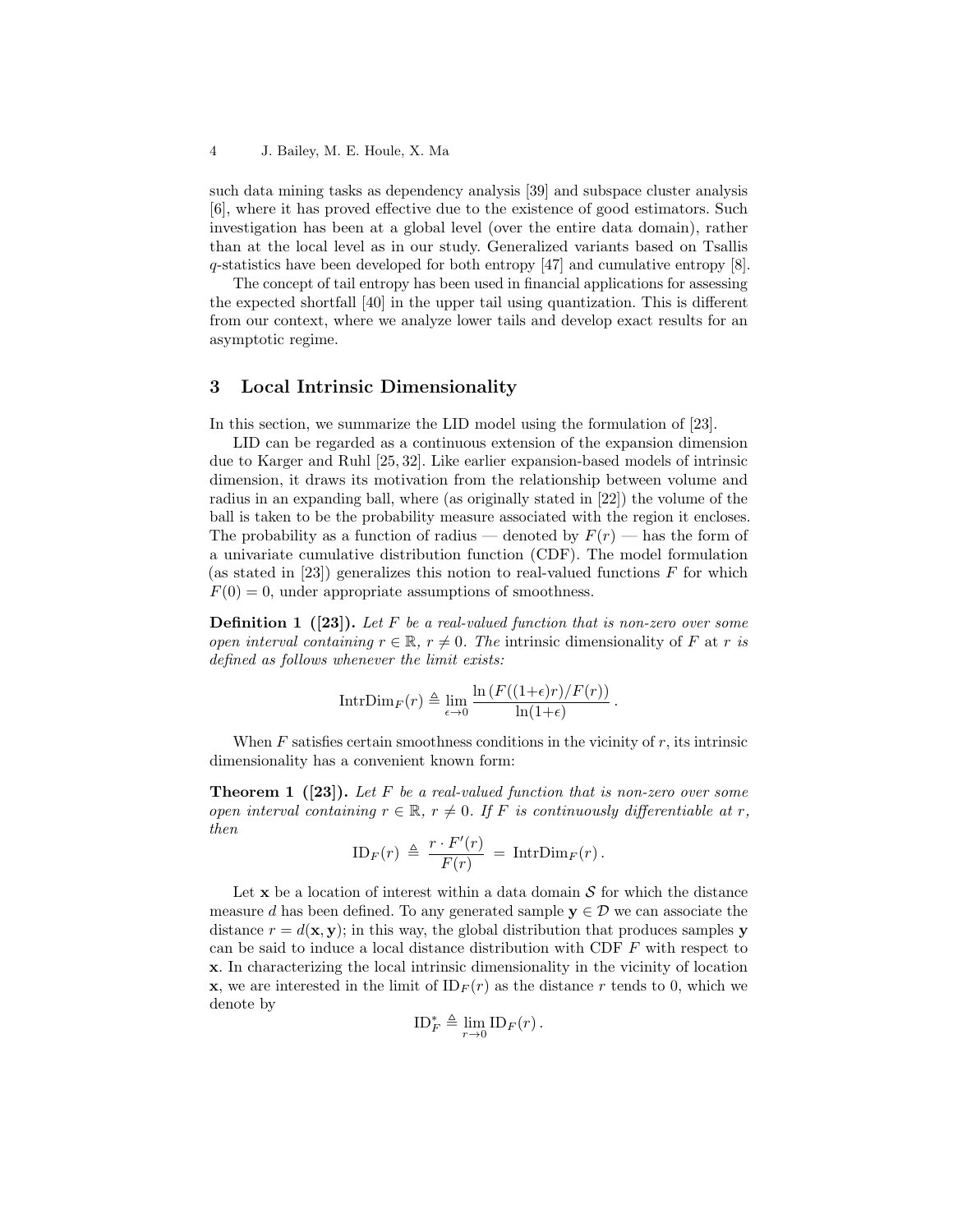such data mining tasks as dependency analysis [39] and subspace cluster analysis [6], where it has proved effective due to the existence of good estimators. Such investigation has been at a global level (over the entire data domain), rather than at the local level as in our study. Generalized variants based on Tsallis q-statistics have been developed for both entropy [47] and cumulative entropy [8].

The concept of tail entropy has been used in financial applications for assessing the expected shortfall [40] in the upper tail using quantization. This is different from our context, where we analyze lower tails and develop exact results for an asymptotic regime.

## 3 Local Intrinsic Dimensionality

In this section, we summarize the LID model using the formulation of [23].

LID can be regarded as a continuous extension of the expansion dimension due to Karger and Ruhl [25, 32]. Like earlier expansion-based models of intrinsic dimension, it draws its motivation from the relationship between volume and radius in an expanding ball, where (as originally stated in [22]) the volume of the ball is taken to be the probability measure associated with the region it encloses. The probability as a function of radius — denoted by  $F(r)$  — has the form of a univariate cumulative distribution function (CDF). The model formulation (as stated in [23]) generalizes this notion to real-valued functions  $F$  for which  $F(0) = 0$ , under appropriate assumptions of smoothness.

**Definition 1** ([23]). Let F be a real-valued function that is non-zero over some open interval containing  $r \in \mathbb{R}$ ,  $r \neq 0$ . The intrinsic dimensionality of F at r is defined as follows whenever the limit exists:

$$
\mathrm{IntrDim}_F(r) \triangleq \lim_{\epsilon \to 0} \frac{\ln\left(F((1+\epsilon)r)/F(r)\right)}{\ln(1+\epsilon)}.
$$

When  $F$  satisfies certain smoothness conditions in the vicinity of  $r$ , its intrinsic dimensionality has a convenient known form:

**Theorem 1** ([23]). Let F be a real-valued function that is non-zero over some open interval containing  $r \in \mathbb{R}$ ,  $r \neq 0$ . If F is continuously differentiable at r, then

$$
ID_F(r) \triangleq \frac{r \cdot F'(r)}{F(r)} = IntrDim_F(r).
$$

Let  $x$  be a location of interest within a data domain S for which the distance measure d has been defined. To any generated sample  $y \in \mathcal{D}$  we can associate the distance  $r = d(\mathbf{x}, \mathbf{y})$ ; in this way, the global distribution that produces samples y can be said to induce a local distance distribution with CDF F with respect to x. In characterizing the local intrinsic dimensionality in the vicinity of location **x**, we are interested in the limit of  $ID_F(r)$  as the distance r tends to 0, which we denote by

$$
\mathrm{ID}_F^* \triangleq \lim_{r \to 0} \mathrm{ID}_F(r).
$$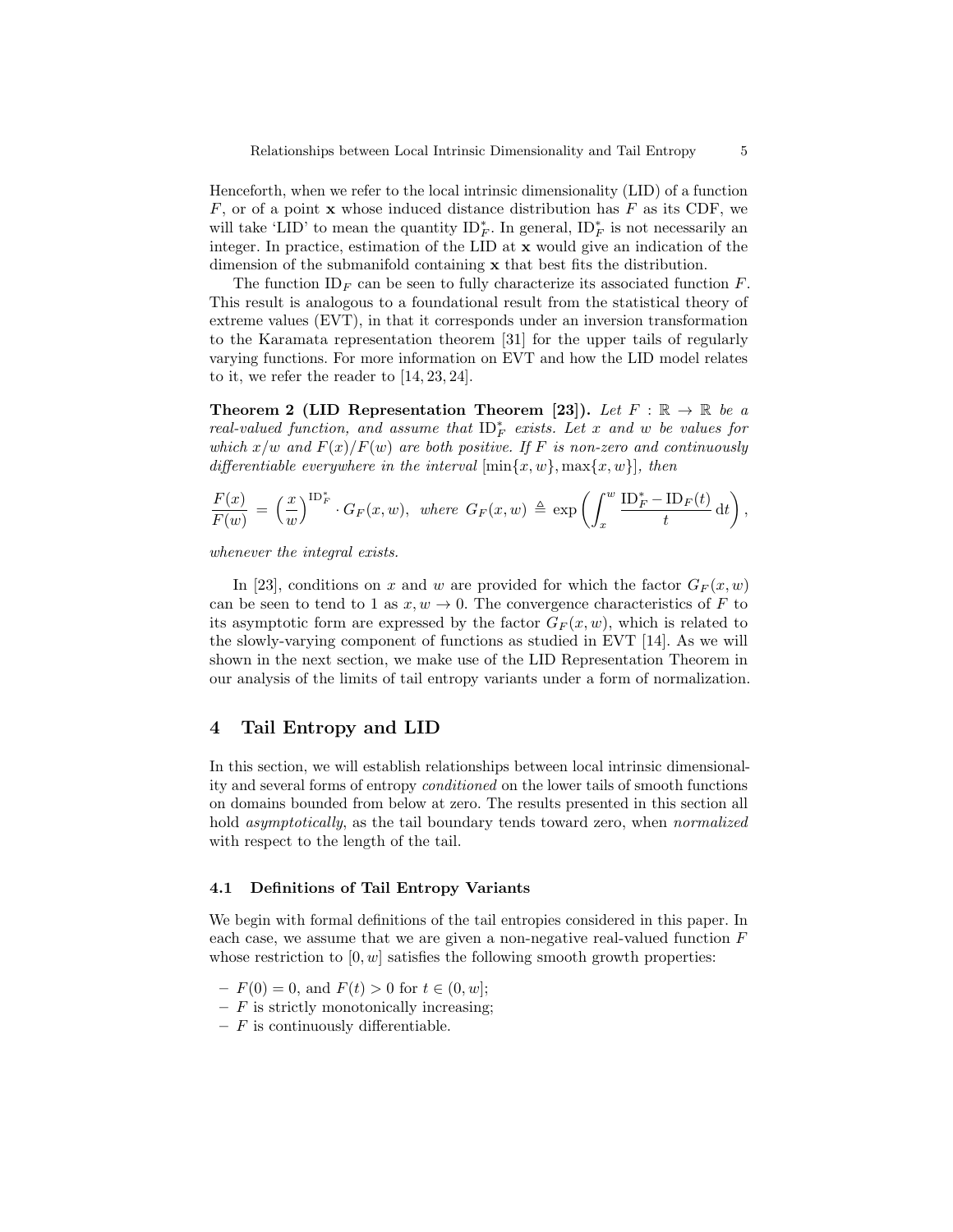Henceforth, when we refer to the local intrinsic dimensionality (LID) of a function  $F$ , or of a point **x** whose induced distance distribution has  $F$  as its CDF, we will take 'LID' to mean the quantity  $ID_F^*$ . In general,  $ID_F^*$  is not necessarily an integer. In practice, estimation of the LID at x would give an indication of the dimension of the submanifold containing x that best fits the distribution.

The function ID<sub>F</sub> can be seen to fully characterize its associated function F. This result is analogous to a foundational result from the statistical theory of extreme values (EVT), in that it corresponds under an inversion transformation to the Karamata representation theorem [31] for the upper tails of regularly varying functions. For more information on EVT and how the LID model relates to it, we refer the reader to [14, 23, 24].

Theorem 2 (LID Representation Theorem [23]). Let  $F : \mathbb{R} \to \mathbb{R}$  be a real-valued function, and assume that  $ID_F^*$  exists. Let x and w be values for which  $x/w$  and  $F(x)/F(w)$  are both positive. If F is non-zero and continuously differentiable everywhere in the interval  $[\min\{x, w\}, \max\{x, w\}]$ , then

$$
\frac{F(x)}{F(w)} = \left(\frac{x}{w}\right)^{\text{ID}_F^*} \cdot G_F(x, w), \text{ where } G_F(x, w) \triangleq \exp\left(\int_x^w \frac{\text{ID}_F^* - \text{ID}_F(t)}{t} dt\right),
$$

whenever the integral exists.

In [23], conditions on x and w are provided for which the factor  $G_F(x, w)$ can be seen to tend to 1 as  $x, w \to 0$ . The convergence characteristics of F to its asymptotic form are expressed by the factor  $G_F(x, w)$ , which is related to the slowly-varying component of functions as studied in EVT [14]. As we will shown in the next section, we make use of the LID Representation Theorem in our analysis of the limits of tail entropy variants under a form of normalization.

## 4 Tail Entropy and LID

In this section, we will establish relationships between local intrinsic dimensionality and several forms of entropy conditioned on the lower tails of smooth functions on domains bounded from below at zero. The results presented in this section all hold *asymptotically*, as the tail boundary tends toward zero, when *normalized* with respect to the length of the tail.

#### 4.1 Definitions of Tail Entropy Variants

We begin with formal definitions of the tail entropies considered in this paper. In each case, we assume that we are given a non-negative real-valued function  $F$ whose restriction to  $[0, w]$  satisfies the following smooth growth properties:

- $-F(0) = 0$ , and  $F(t) > 0$  for  $t \in (0, w]$ ;
- $-$  F is strictly monotonically increasing;
- $-$  F is continuously differentiable.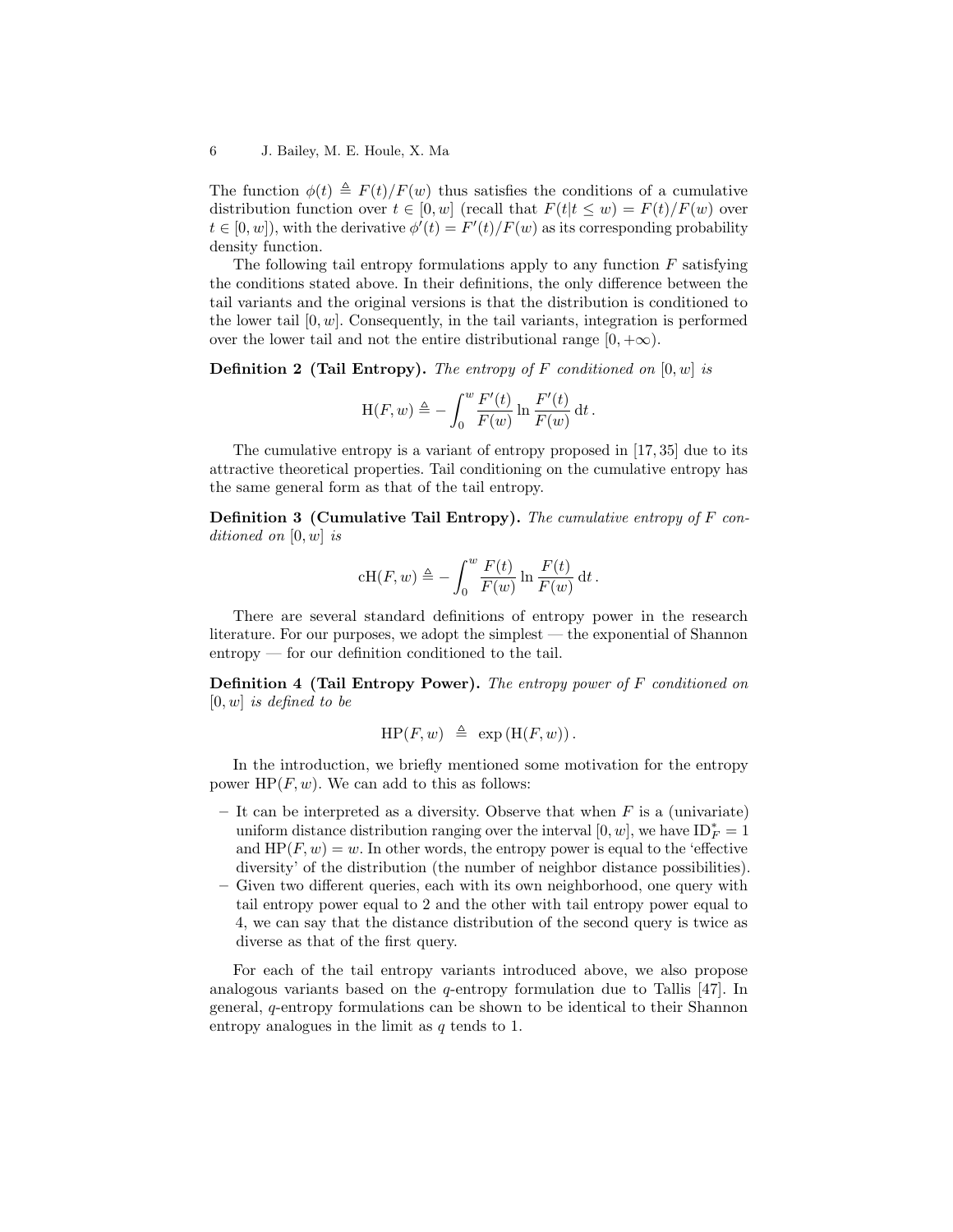The function  $\phi(t) \triangleq F(t)/F(w)$  thus satisfies the conditions of a cumulative distribution function over  $t \in [0, w]$  (recall that  $F(t|t \leq w) = F(t)/F(w)$  over  $t \in [0, w]$ , with the derivative  $\phi'(t) = F'(t)/F(w)$  as its corresponding probability density function.

The following tail entropy formulations apply to any function  $F$  satisfying the conditions stated above. In their definitions, the only difference between the tail variants and the original versions is that the distribution is conditioned to the lower tail  $[0, w]$ . Consequently, in the tail variants, integration is performed over the lower tail and not the entire distributional range  $[0, +\infty)$ .

**Definition 2 (Tail Entropy).** The entropy of F conditioned on  $[0, w]$  is

$$
H(F, w) \triangleq -\int_0^w \frac{F'(t)}{F(w)} \ln \frac{F'(t)}{F(w)} dt.
$$

The cumulative entropy is a variant of entropy proposed in [17, 35] due to its attractive theoretical properties. Tail conditioning on the cumulative entropy has the same general form as that of the tail entropy.

**Definition 3 (Cumulative Tail Entropy).** The cumulative entropy of  $F$  conditioned on  $[0, w]$  is

$$
cH(F, w) \triangleq -\int_0^w \frac{F(t)}{F(w)} \ln \frac{F(t)}{F(w)} dt.
$$

There are several standard definitions of entropy power in the research literature. For our purposes, we adopt the simplest — the exponential of Shannon entropy — for our definition conditioned to the tail.

Definition 4 (Tail Entropy Power). The entropy power of F conditioned on  $[0, w]$  is defined to be

$$
\text{HP}(F, w) \triangleq \exp(\text{H}(F, w)).
$$

In the introduction, we briefly mentioned some motivation for the entropy power  $HP(F, w)$ . We can add to this as follows:

- It can be interpreted as a diversity. Observe that when  $F$  is a (univariate) uniform distance distribution ranging over the interval  $[0, w]$ , we have  $ID_F^* = 1$ and  $HP(F, w) = w$ . In other words, the entropy power is equal to the 'effective diversity' of the distribution (the number of neighbor distance possibilities).
- Given two different queries, each with its own neighborhood, one query with tail entropy power equal to 2 and the other with tail entropy power equal to 4, we can say that the distance distribution of the second query is twice as diverse as that of the first query.

For each of the tail entropy variants introduced above, we also propose analogous variants based on the q-entropy formulation due to Tallis [47]. In general, q-entropy formulations can be shown to be identical to their Shannon entropy analogues in the limit as q tends to 1.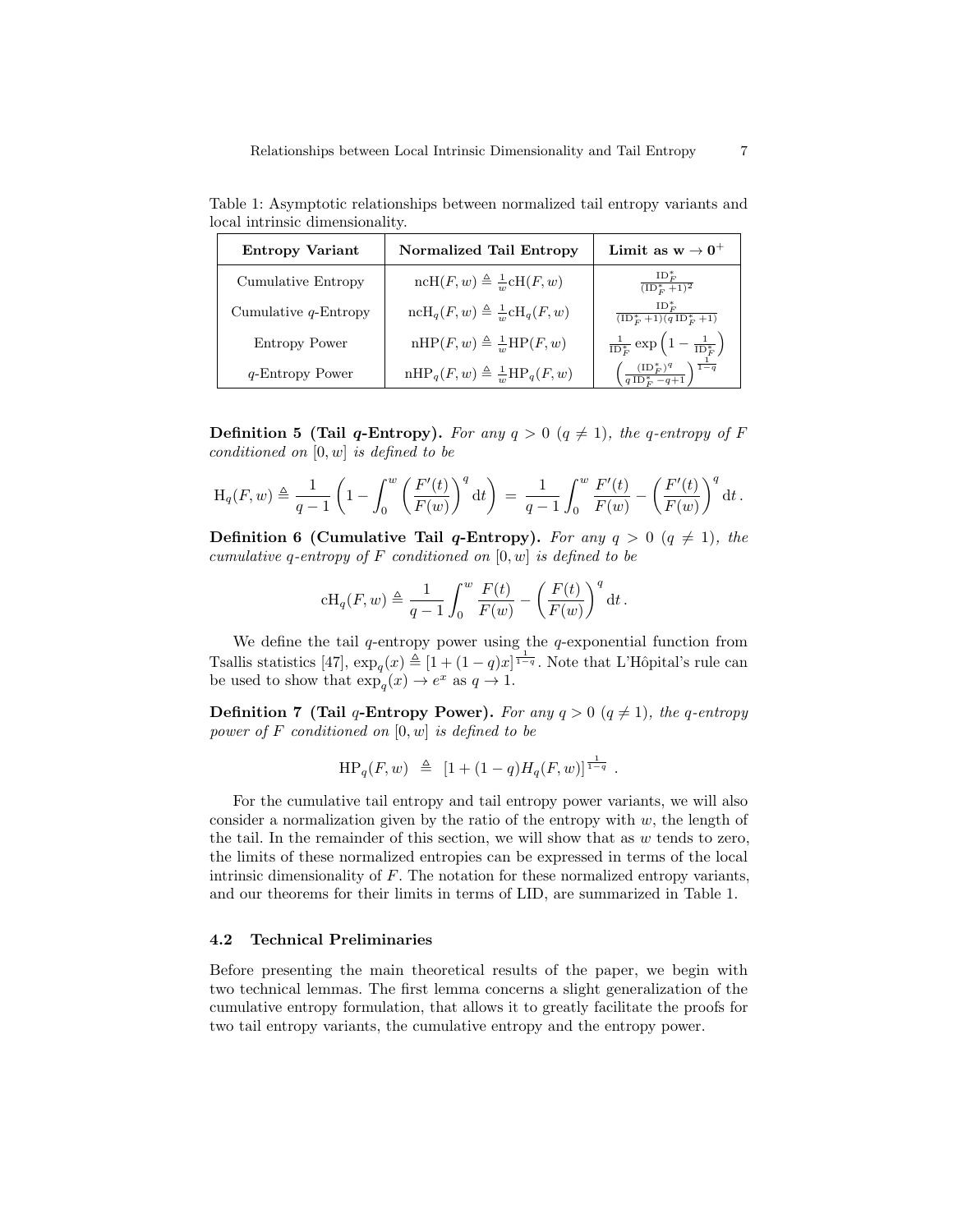Table 1: Asymptotic relationships between normalized tail entropy variants and local intrinsic dimensionality.

| <b>Entropy Variant</b>  | Normalized Tail Entropy                                                           | Limit as $w \rightarrow 0^+$                                                                |
|-------------------------|-----------------------------------------------------------------------------------|---------------------------------------------------------------------------------------------|
| Cumulative Entropy      | $ncH(F, w) \triangleq \frac{1}{w}cH(F, w)$                                        | $\frac{\text{ID}_F^*}{(\text{ID}_F^* + 1)^2}$                                               |
| Cumulative $q$ -Entropy | $\operatorname{ncH}_{q}(F, w) \triangleq \frac{1}{w} \operatorname{cH}_{q}(F, w)$ | $\frac{{\rm ID}_F^*}{({\rm ID}_F^*+1)(q\,{\rm ID}_F^*+1)}$                                  |
| Entropy Power           | $nHP(F, w) \triangleq \frac{1}{w}HP(F, w)$                                        | $\frac{1}{\text{ID}_F^*} \exp \left(1 - \frac{1}{\text{ID}_F^*}\right)$                     |
| <i>q</i> -Entropy Power | $nHP_q(F, w) \triangleq \frac{1}{w}HP_q(F, w)$                                    | $\frac{1}{\left(\frac{(\text{ID}_F^*)^q}{q \, \text{ID}_F^* - q + 1}\right)} \frac{1}{1-q}$ |

**Definition 5 (Tail q-Entropy).** For any  $q > 0$  ( $q \neq 1$ ), the q-entropy of F conditioned on  $[0, w]$  is defined to be

$$
H_q(F, w) \triangleq \frac{1}{q-1} \left( 1 - \int_0^w \left( \frac{F'(t)}{F(w)} \right)^q dt \right) = \frac{1}{q-1} \int_0^w \frac{F'(t)}{F(w)} - \left( \frac{F'(t)}{F(w)} \right)^q dt.
$$

**Definition 6 (Cumulative Tail q-Entropy).** For any  $q > 0$  ( $q \neq 1$ ), the cumulative q-entropy of  $F$  conditioned on  $[0, w]$  is defined to be

$$
cH_q(F, w) \triangleq \frac{1}{q-1} \int_0^w \frac{F(t)}{F(w)} - \left(\frac{F(t)}{F(w)}\right)^q dt.
$$

We define the tail  $q$ -entropy power using the  $q$ -exponential function from Tsallis statistics [47],  $\exp_q(x) \triangleq [1 + (1 - q)x]^{\frac{1}{1 - q}}$ . Note that L'Hôpital's rule can be used to show that  $\exp_q(x) \to e^x$  as  $q \to 1$ .

**Definition 7 (Tail q-Entropy Power).** For any  $q > 0$  ( $q \neq 1$ ), the q-entropy power of  $F$  conditioned on  $[0, w]$  is defined to be

$$
\text{HP}_q(F, w) \triangleq [1 + (1 - q)H_q(F, w)]^{\frac{1}{1 - q}}.
$$

For the cumulative tail entropy and tail entropy power variants, we will also consider a normalization given by the ratio of the entropy with  $w$ , the length of the tail. In the remainder of this section, we will show that as  $w$  tends to zero, the limits of these normalized entropies can be expressed in terms of the local intrinsic dimensionality of  $F$ . The notation for these normalized entropy variants, and our theorems for their limits in terms of LID, are summarized in Table 1.

#### 4.2 Technical Preliminaries

Before presenting the main theoretical results of the paper, we begin with two technical lemmas. The first lemma concerns a slight generalization of the cumulative entropy formulation, that allows it to greatly facilitate the proofs for two tail entropy variants, the cumulative entropy and the entropy power.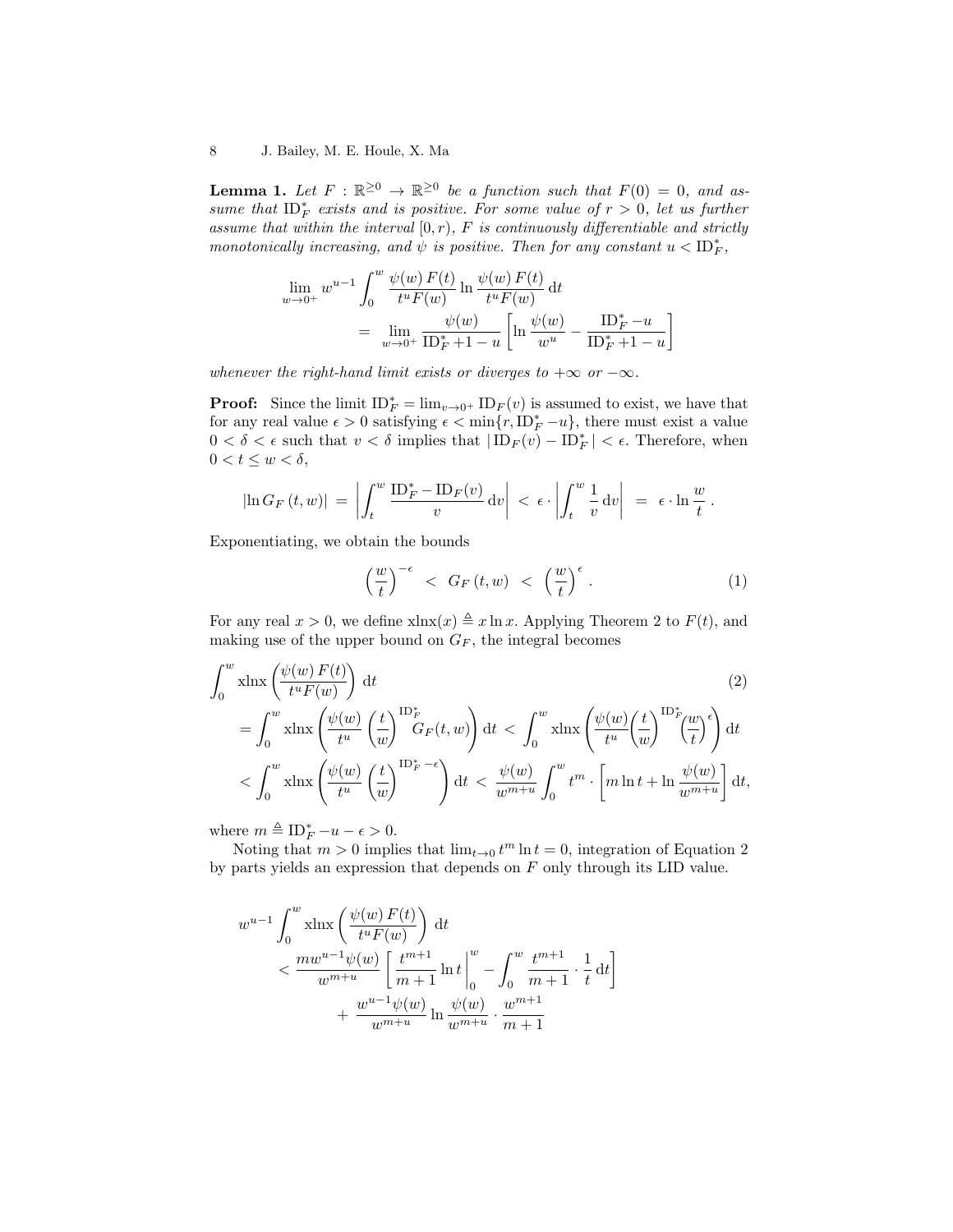#### 8 J. Bailey, M. E. Houle, X. Ma

**Lemma 1.** Let  $F : \mathbb{R}^{\geq 0} \to \mathbb{R}^{\geq 0}$  be a function such that  $F(0) = 0$ , and assume that  $ID_F^*$  exists and is positive. For some value of  $r > 0$ , let us further assume that within the interval  $[0, r)$ , F is continuously differentiable and strictly monotonically increasing, and  $\psi$  is positive. Then for any constant  $u < \mathrm{ID}_F^*$ ,

$$
\lim_{w \to 0^{+}} w^{u-1} \int_{0}^{w} \frac{\psi(w) F(t)}{t^{u} F(w)} \ln \frac{\psi(w) F(t)}{t^{u} F(w)} dt
$$
\n
$$
= \lim_{w \to 0^{+}} \frac{\psi(w)}{\text{ID}_{F}^{*} + 1 - u} \left[ \ln \frac{\psi(w)}{w^{u}} - \frac{\text{ID}_{F}^{*} - u}{\text{ID}_{F}^{*} + 1 - u} \right]
$$

whenever the right-hand limit exists or diverges to  $+\infty$  or  $-\infty$ .

**Proof:** Since the limit  $ID_F^* = \lim_{v \to 0^+} ID_F(v)$  is assumed to exist, we have that for any real value  $\epsilon > 0$  satisfying  $\epsilon < \min\{r, \mathrm{ID}_F^* - u\}$ , there must exist a value 0 < δ <  $\epsilon$  such that  $v < \delta$  implies that  $|\text{ID}_F(v) - \text{ID}_F^*|$  <  $\epsilon$ . Therefore, when  $0 < t \leq w < \delta$ ,

$$
\left|\ln G_F\left(t,w\right)\right| \;=\; \left|\int_t^w \frac{\text{ID}_F^* - \text{ID}_F(v)}{v} \,\mathrm{d}v\right| \; <\; \epsilon \cdot \left|\int_t^w \frac{1}{v} \,\mathrm{d}v\right| \; = \; \epsilon \cdot \ln \frac{w}{t} \, .
$$

Exponentiating, we obtain the bounds

$$
\left(\frac{w}{t}\right)^{-\epsilon} < G_F\left(t, w\right) < \left(\frac{w}{t}\right)^{\epsilon} \,. \tag{1}
$$

For any real  $x > 0$ , we define  $x \ln x(x) \triangleq x \ln x$ . Applying Theorem 2 to  $F(t)$ , and making use of the upper bound on  $G_F$ , the integral becomes

$$
\int_0^w \operatorname{slnx} \left( \frac{\psi(w) F(t)}{t^u F(w)} \right) dt
$$
\n
$$
= \int_0^w \operatorname{slnx} \left( \frac{\psi(w)}{t^u} \left( \frac{t}{w} \right)^{\text{ID}_F^*} G_F(t, w) \right) dt < \int_0^w \operatorname{slnx} \left( \frac{\psi(w)}{t^u} \left( \frac{t}{w} \right)^{\text{ID}_F^*} \left( \frac{w}{t} \right)^{\epsilon} \right) dt
$$
\n
$$
< \int_0^w \operatorname{slnx} \left( \frac{\psi(w)}{t^u} \left( \frac{t}{w} \right)^{\text{ID}_F^* - \epsilon} \right) dt < \frac{\psi(w)}{w^{m+u}} \int_0^w t^m \cdot \left[ m \ln t + \ln \frac{\psi(w)}{w^{m+u}} \right] dt,
$$
\n(2)

where  $m \triangleq \text{ID}_F^* - u - \epsilon > 0$ .

Noting that  $m > 0$  implies that  $\lim_{t \to 0} t^m \ln t = 0$ , integration of Equation 2 by parts yields an expression that depends on  $F$  only through its LID value.

$$
w^{u-1} \int_0^w \sin \left( \frac{\psi(w) F(t)}{t^u F(w)} \right) dt
$$
  

$$
< \frac{m w^{u-1} \psi(w)}{w^{m+u}} \left[ \frac{t^{m+1}}{m+1} \ln t \Big|_0^w - \int_0^w \frac{t^{m+1}}{m+1} \cdot \frac{1}{t} dt \right]
$$
  

$$
+ \frac{w^{u-1} \psi(w)}{w^{m+u}} \ln \frac{\psi(w)}{w^{m+u}} \cdot \frac{w^{m+1}}{m+1}
$$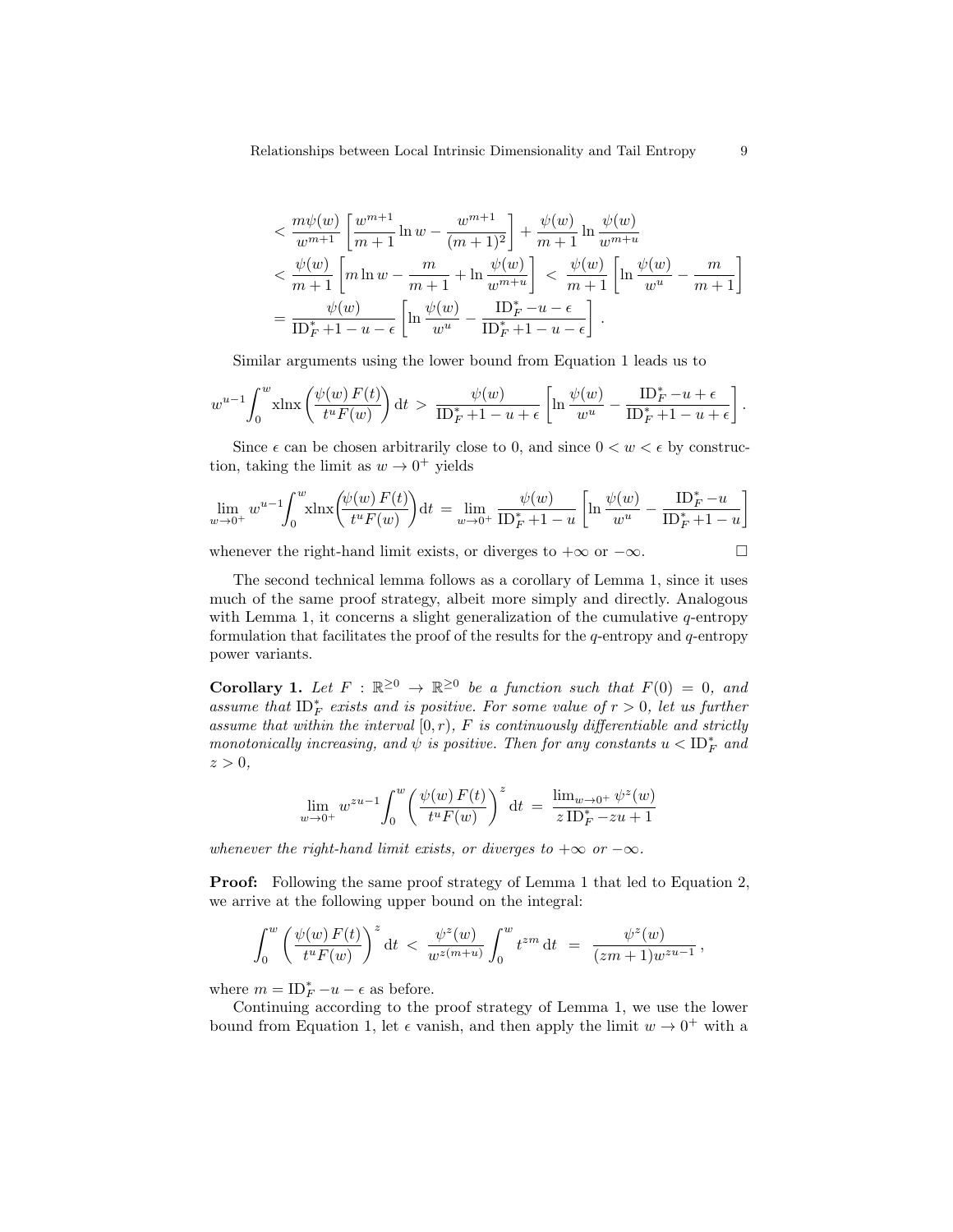$$
\begin{split} &< \frac{m\psi(w)}{w^{m+1}}\left[\frac{w^{m+1}}{m+1}\ln w - \frac{w^{m+1}}{(m+1)^2}\right] + \frac{\psi(w)}{m+1}\ln \frac{\psi(w)}{w^{m+u}}\\ &< \frac{\psi(w)}{m+1}\left[m\ln w - \frac{m}{m+1} + \ln \frac{\psi(w)}{w^{m+u}}\right] < \frac{\psi(w)}{m+1}\left[\ln \frac{\psi(w)}{w^u} - \frac{m}{m+1}\right]\\ &= \frac{\psi(w)}{\text{ID}_F^* + 1 - u - \epsilon}\left[\ln \frac{\psi(w)}{w^u} - \frac{\text{ID}_F^* - u - \epsilon}{\text{ID}_F^* + 1 - u - \epsilon}\right]\,. \end{split}
$$

Similar arguments using the lower bound from Equation 1 leads us to

$$
w^{u-1} \int_0^w \operatorname{xln} \left( \frac{\psi(w) F(t)}{t^u F(w)} \right) dt > \frac{\psi(w)}{\operatorname{ID}_F^* + 1 - u + \epsilon} \left[ \ln \frac{\psi(w)}{w^u} - \frac{\operatorname{ID}_F^* - u + \epsilon}{\operatorname{ID}_F^* + 1 - u + \epsilon} \right].
$$

Since  $\epsilon$  can be chosen arbitrarily close to 0, and since  $0 < w < \epsilon$  by construction, taking the limit as  $w \to 0^+$  yields

$$
\lim_{w \to 0^+} w^{u-1} \int_0^w \frac{\sinh(x) \left(\frac{\psi(w) F(t)}{t^u F(w)}\right) dt}{\psi'(w) - \sinh(x) + \sinh(x)} dt = \lim_{w \to 0^+} \frac{\psi(w)}{\ln^* + 1 - u} \left[ \ln \frac{\psi(w)}{w^u} - \frac{\ln^* - u}{\ln^* + 1 - u} \right]
$$

whenever the right-hand limit exists, or diverges to  $+\infty$  or  $-\infty$ .

$$
\mathbf{L}^{\prime}
$$

The second technical lemma follows as a corollary of Lemma 1, since it uses much of the same proof strategy, albeit more simply and directly. Analogous with Lemma 1, it concerns a slight generalization of the cumulative  $q$ -entropy formulation that facilitates the proof of the results for the q-entropy and  $q$ -entropy power variants.

**Corollary 1.** Let  $F : \mathbb{R}^{\geq 0} \to \mathbb{R}^{\geq 0}$  be a function such that  $F(0) = 0$ , and assume that  $ID_F^*$  exists and is positive. For some value of  $r > 0$ , let us further assume that within the interval  $[0, r)$ , F is continuously differentiable and strictly monotonically increasing, and  $\psi$  is positive. Then for any constants  $u < \mathrm{ID}_F^*$  and  $z > 0$ ,

$$
\lim_{w \to 0^+} w^{zu-1} \int_0^w \left( \frac{\psi(w) F(t)}{t^u F(w)} \right)^z dt = \frac{\lim_{w \to 0^+} \psi^z(w)}{z \ln^* F(zu+1)}
$$

whenever the right-hand limit exists, or diverges to  $+\infty$  or  $-\infty$ .

Proof: Following the same proof strategy of Lemma 1 that led to Equation 2, we arrive at the following upper bound on the integral:

$$
\int_0^w \left(\frac{\psi(w)\,F(t)}{t^u F(w)}\right)^z{\rm d} t\;<\; \frac{\psi^z(w)}{w^{z(m+u)}}\int_0^w t^{zm}\,{\rm d} t\;\;=\;\;\frac{\psi^z(w)}{(zm+1)w^{zu-1}}\,,
$$

where  $m = \text{ID}_F^* - u - \epsilon$  as before.

Continuing according to the proof strategy of Lemma 1, we use the lower bound from Equation 1, let  $\epsilon$  vanish, and then apply the limit  $w \to 0^+$  with a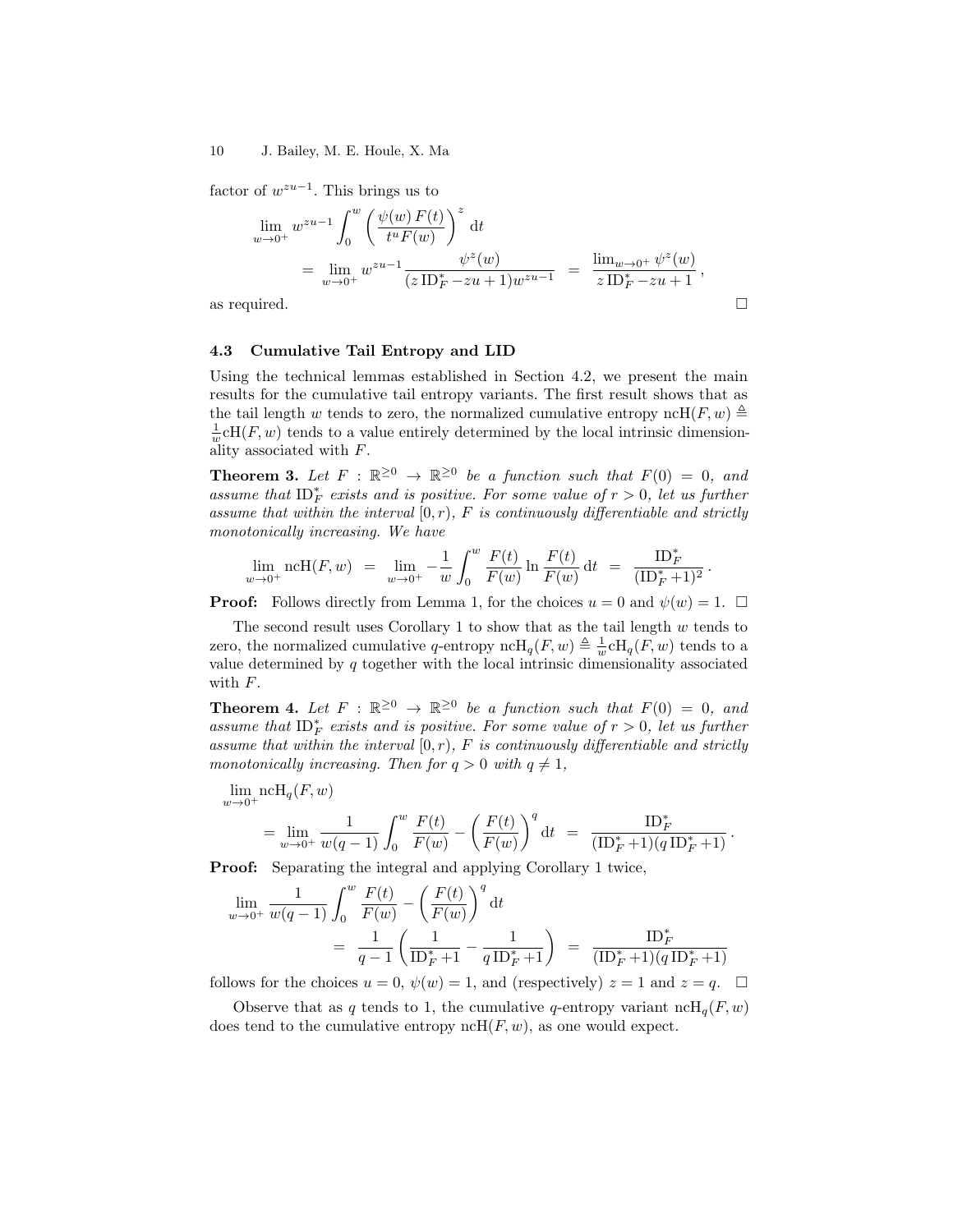#### 10 J. Bailey, M. E. Houle, X. Ma

factor of  $w^{zu-1}$ . This brings us to

$$
\lim_{w \to 0^{+}} w^{zu-1} \int_{0}^{w} \left( \frac{\psi(w) F(t)}{t^{u} F(w)} \right)^{z} dt
$$
\n
$$
= \lim_{w \to 0^{+}} w^{zu-1} \frac{\psi^{z}(w)}{(z \operatorname{ID}_{F}^{*} - zu + 1)w^{zu-1}} = \frac{\lim_{w \to 0^{+}} \psi^{z}(w)}{z \operatorname{ID}_{F}^{*} - zu + 1},
$$
\nas required.

#### 4.3 Cumulative Tail Entropy and LID

Using the technical lemmas established in Section 4.2, we present the main results for the cumulative tail entropy variants. The first result shows that as the tail length w tends to zero, the normalized cumulative entropy  $\operatorname{ncH}(F, w) \triangleq$  $\frac{1}{w}$ cH(F, w) tends to a value entirely determined by the local intrinsic dimensionality associated with F.

**Theorem 3.** Let  $F : \mathbb{R}^{\geq 0} \to \mathbb{R}^{\geq 0}$  be a function such that  $F(0) = 0$ , and assume that  $ID_F^*$  exists and is positive. For some value of  $r > 0$ , let us further assume that within the interval  $[0, r)$ , F is continuously differentiable and strictly monotonically increasing. We have

$$
\lim_{w \to 0^+} \text{ncH}(F, w) = \lim_{w \to 0^+} -\frac{1}{w} \int_0^w \frac{F(t)}{F(w)} \ln \frac{F(t)}{F(w)} dt = \frac{\text{ID}_F^*}{(\text{ID}_F^* + 1)^2}
$$

.

**Proof:** Follows directly from Lemma 1, for the choices  $u = 0$  and  $\psi(w) = 1$ .

The second result uses Corollary 1 to show that as the tail length  $w$  tends to zero, the normalized cumulative q-entropy  $\operatorname{ncH}_q(F, w) \triangleq \frac{1}{w} \operatorname{cH}_q(F, w)$  tends to a value determined by  $q$  together with the local intrinsic dimensionality associated with F.

**Theorem 4.** Let  $F : \mathbb{R}^{\geq 0} \to \mathbb{R}^{\geq 0}$  be a function such that  $F(0) = 0$ , and assume that  $ID_F^*$  exists and is positive. For some value of  $r > 0$ , let us further assume that within the interval  $[0, r)$ , F is continuously differentiable and strictly monotonically increasing. Then for  $q > 0$  with  $q \neq 1$ ,

$$
\lim_{w \to 0^{+}} \text{ncH}_{q}(F, w) = \lim_{w \to 0^{+}} \frac{1}{w(q-1)} \int_{0}^{w} \frac{F(t)}{F(w)} - \left(\frac{F(t)}{F(w)}\right)^{q} dt = \frac{ID_{F}^{*}}{(\text{ID}_{F}^{*}+1)(q \text{ID}_{F}^{*}+1)}.
$$

**Proof:** Separating the integral and applying Corollary 1 twice,

$$
\lim_{w \to 0^{+}} \frac{1}{w(q-1)} \int_{0}^{w} \frac{F(t)}{F(w)} - \left(\frac{F(t)}{F(w)}\right)^{q} dt
$$
\n
$$
= \frac{1}{q-1} \left(\frac{1}{\text{ID}_{F}^{*}+1} - \frac{1}{q \text{ID}_{F}^{*}+1}\right) = \frac{\text{ID}_{F}^{*}}{(\text{ID}_{F}^{*}+1)(q \text{ID}_{F}^{*}+1)}
$$

follows for the choices  $u = 0$ ,  $\psi(w) = 1$ , and (respectively)  $z = 1$  and  $z = q$ .  $\Box$ 

Observe that as q tends to 1, the cumulative q-entropy variant  $\operatorname{ncH}_{q}(F, w)$ does tend to the cumulative entropy  $\mathrm{ncH}(F, w)$ , as one would expect.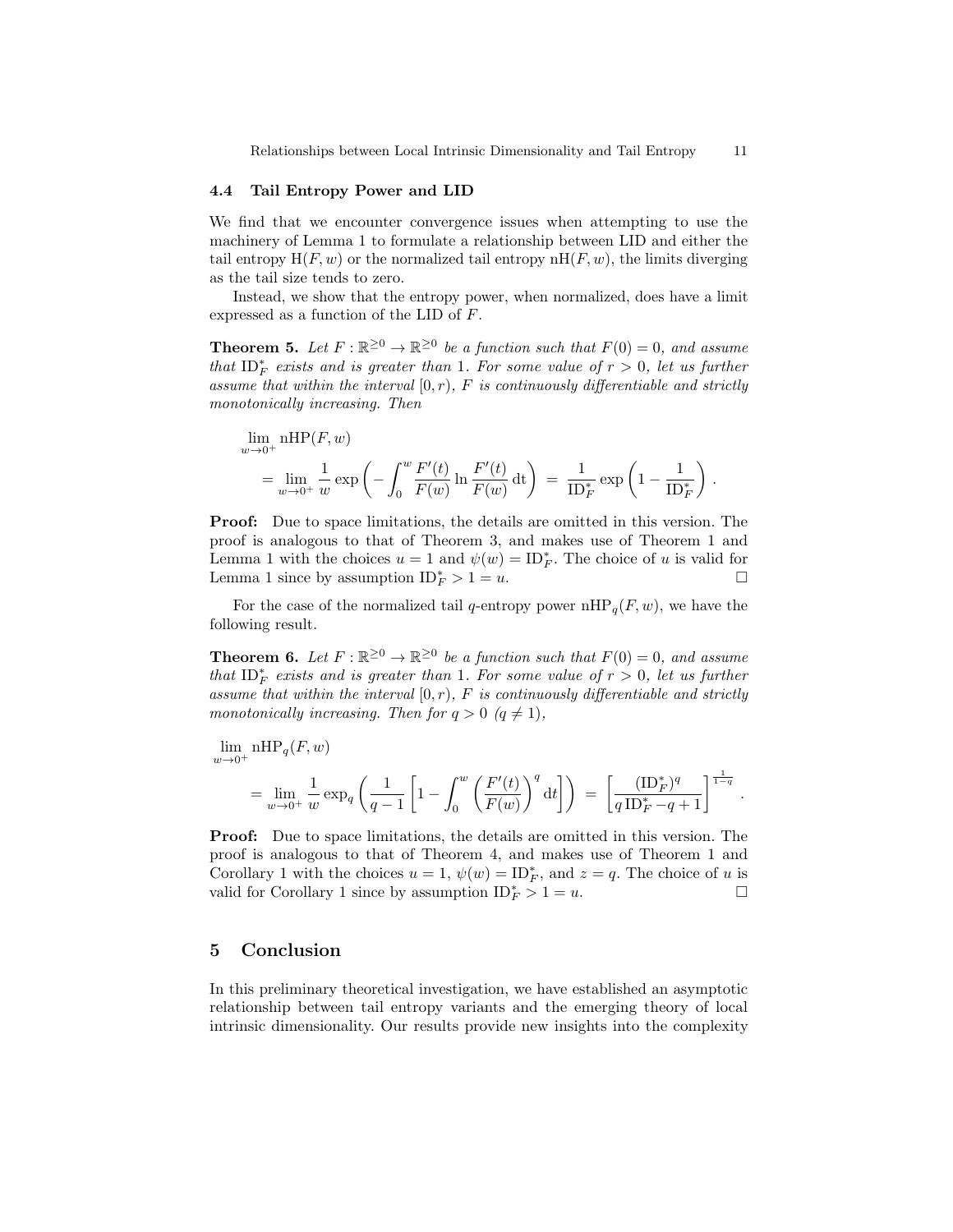#### 4.4 Tail Entropy Power and LID

We find that we encounter convergence issues when attempting to use the machinery of Lemma 1 to formulate a relationship between LID and either the tail entropy  $H(F, w)$  or the normalized tail entropy  $h(x, w)$ , the limits diverging as the tail size tends to zero.

Instead, we show that the entropy power, when normalized, does have a limit expressed as a function of the LID of F.

**Theorem 5.** Let  $F : \mathbb{R}^{\geq 0} \to \mathbb{R}^{\geq 0}$  be a function such that  $F(0) = 0$ , and assume that  $ID_F^*$  exists and is greater than 1. For some value of  $r > 0$ , let us further assume that within the interval  $[0, r)$ , F is continuously differentiable and strictly monotonically increasing. Then

$$
\lim_{w \to 0^+} \text{nHP}(F, w)
$$
\n
$$
= \lim_{w \to 0^+} \frac{1}{w} \exp \left(-\int_0^w \frac{F'(t)}{F(w)} \ln \frac{F'(t)}{F(w)} dt\right) = \frac{1}{\text{ID}_F^*} \exp \left(1 - \frac{1}{\text{ID}_F^*}\right).
$$

Proof: Due to space limitations, the details are omitted in this version. The proof is analogous to that of Theorem 3, and makes use of Theorem 1 and Lemma 1 with the choices  $u = 1$  and  $\psi(w) = \text{ID}_F^*$ . The choice of u is valid for Lemma 1 since by assumption  $ID_F^* > 1 = u$ .

For the case of the normalized tail q-entropy power  $nHP_q(F, w)$ , we have the following result.

**Theorem 6.** Let  $F : \mathbb{R}^{\geq 0} \to \mathbb{R}^{\geq 0}$  be a function such that  $F(0) = 0$ , and assume that  $ID_F^*$  exists and is greater than 1. For some value of  $r > 0$ , let us further assume that within the interval  $[0, r)$ , F is continuously differentiable and strictly monotonically increasing. Then for  $q > 0$   $(q \neq 1)$ ,

$$
\lim_{w \to 0^{+}} \text{nHP}_{q}(F, w)
$$
\n
$$
= \lim_{w \to 0^{+}} \frac{1}{w} \exp_{q} \left( \frac{1}{q-1} \left[ 1 - \int_{0}^{w} \left( \frac{F'(t)}{F(w)} \right)^{q} dt \right] \right) = \left[ \frac{(\text{ID}_{F}^{*})^{q}}{q \text{ID}_{F}^{*} - q + 1} \right]^{\frac{1}{1-q}}.
$$

Proof: Due to space limitations, the details are omitted in this version. The proof is analogous to that of Theorem 4, and makes use of Theorem 1 and Corollary 1 with the choices  $u = 1$ ,  $\psi(w) = \text{ID}_F^*$ , and  $z = q$ . The choice of u is valid for Corollary 1 since by assumption  $ID_F^* > 1 = u$ .

### 5 Conclusion

In this preliminary theoretical investigation, we have established an asymptotic relationship between tail entropy variants and the emerging theory of local intrinsic dimensionality. Our results provide new insights into the complexity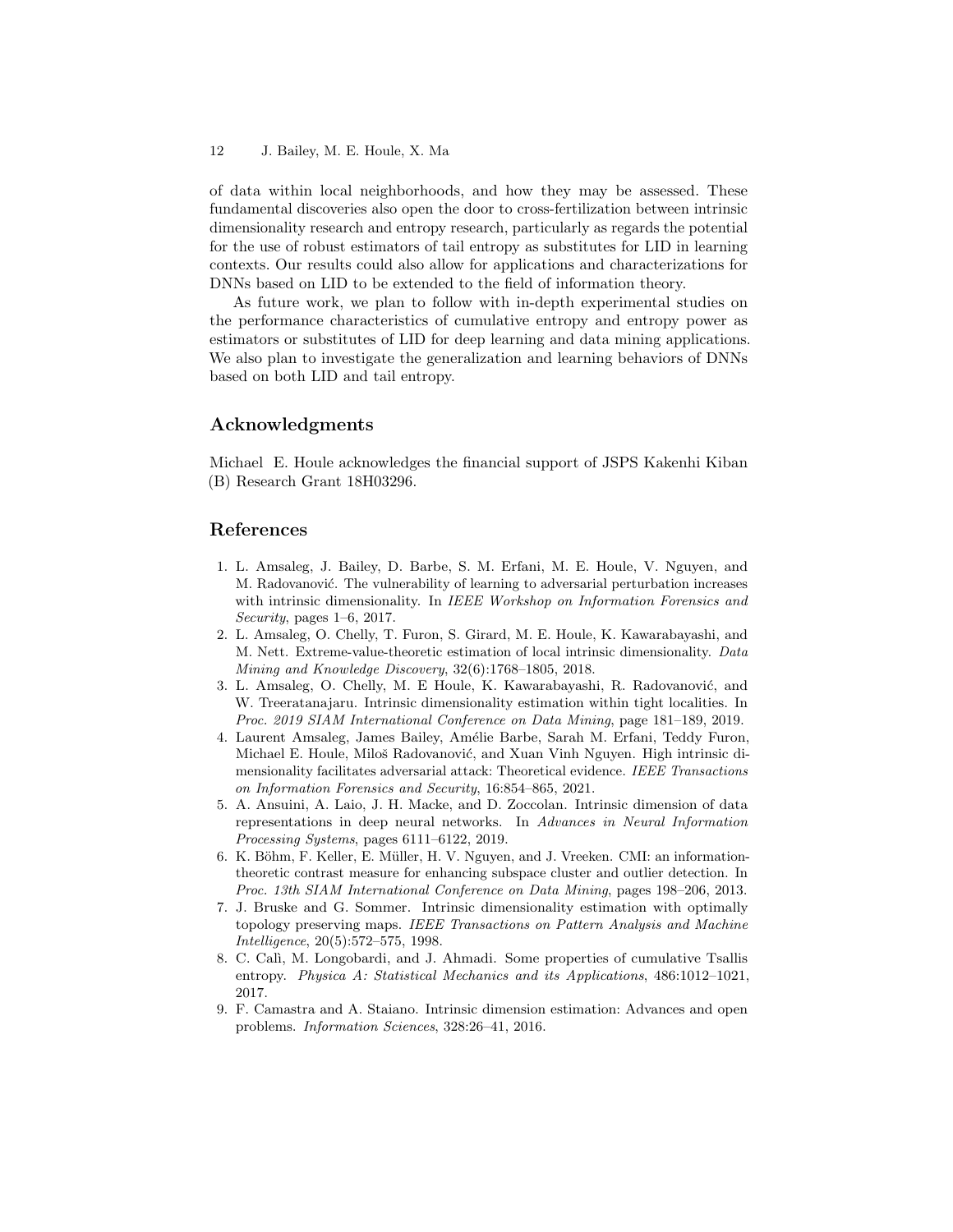of data within local neighborhoods, and how they may be assessed. These fundamental discoveries also open the door to cross-fertilization between intrinsic dimensionality research and entropy research, particularly as regards the potential for the use of robust estimators of tail entropy as substitutes for LID in learning contexts. Our results could also allow for applications and characterizations for DNNs based on LID to be extended to the field of information theory.

As future work, we plan to follow with in-depth experimental studies on the performance characteristics of cumulative entropy and entropy power as estimators or substitutes of LID for deep learning and data mining applications. We also plan to investigate the generalization and learning behaviors of DNNs based on both LID and tail entropy.

# Acknowledgments

Michael E. Houle acknowledges the financial support of JSPS Kakenhi Kiban (B) Research Grant 18H03296.

### References

- 1. L. Amsaleg, J. Bailey, D. Barbe, S. M. Erfani, M. E. Houle, V. Nguyen, and M. Radovanović. The vulnerability of learning to adversarial perturbation increases with intrinsic dimensionality. In IEEE Workshop on Information Forensics and Security, pages 1–6, 2017.
- 2. L. Amsaleg, O. Chelly, T. Furon, S. Girard, M. E. Houle, K. Kawarabayashi, and M. Nett. Extreme-value-theoretic estimation of local intrinsic dimensionality. Data Mining and Knowledge Discovery, 32(6):1768–1805, 2018.
- 3. L. Amsaleg, O. Chelly, M. E Houle, K. Kawarabayashi, R. Radovanović, and W. Treeratanajaru. Intrinsic dimensionality estimation within tight localities. In Proc. 2019 SIAM International Conference on Data Mining, page 181–189, 2019.
- 4. Laurent Amsaleg, James Bailey, Amélie Barbe, Sarah M. Erfani, Teddy Furon, Michael E. Houle, Miloš Radovanović, and Xuan Vinh Nguyen. High intrinsic dimensionality facilitates adversarial attack: Theoretical evidence. IEEE Transactions on Information Forensics and Security, 16:854–865, 2021.
- 5. A. Ansuini, A. Laio, J. H. Macke, and D. Zoccolan. Intrinsic dimension of data representations in deep neural networks. In Advances in Neural Information Processing Systems, pages 6111–6122, 2019.
- 6. K. Böhm, F. Keller, E. Müller, H. V. Nguyen, and J. Vreeken. CMI: an informationtheoretic contrast measure for enhancing subspace cluster and outlier detection. In Proc. 13th SIAM International Conference on Data Mining, pages 198–206, 2013.
- 7. J. Bruske and G. Sommer. Intrinsic dimensionality estimation with optimally topology preserving maps. IEEE Transactions on Pattern Analysis and Machine Intelligence, 20(5):572–575, 1998.
- 8. C. Calì, M. Longobardi, and J. Ahmadi. Some properties of cumulative Tsallis entropy. Physica A: Statistical Mechanics and its Applications, 486:1012–1021, 2017.
- 9. F. Camastra and A. Staiano. Intrinsic dimension estimation: Advances and open problems. Information Sciences, 328:26–41, 2016.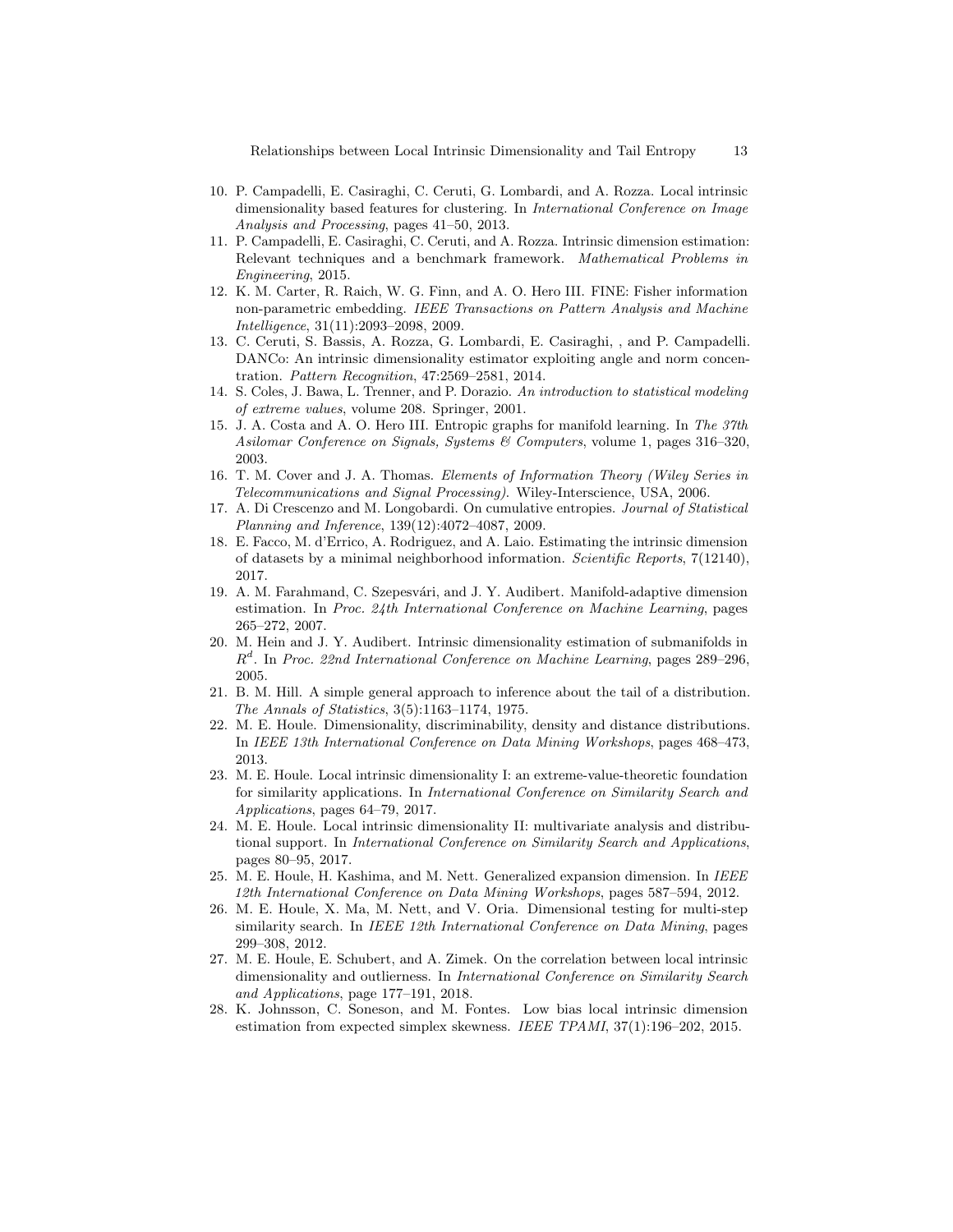Relationships between Local Intrinsic Dimensionality and Tail Entropy 13

- 10. P. Campadelli, E. Casiraghi, C. Ceruti, G. Lombardi, and A. Rozza. Local intrinsic dimensionality based features for clustering. In International Conference on Image Analysis and Processing, pages 41–50, 2013.
- 11. P. Campadelli, E. Casiraghi, C. Ceruti, and A. Rozza. Intrinsic dimension estimation: Relevant techniques and a benchmark framework. Mathematical Problems in Engineering, 2015.
- 12. K. M. Carter, R. Raich, W. G. Finn, and A. O. Hero III. FINE: Fisher information non-parametric embedding. IEEE Transactions on Pattern Analysis and Machine Intelligence, 31(11):2093–2098, 2009.
- 13. C. Ceruti, S. Bassis, A. Rozza, G. Lombardi, E. Casiraghi, , and P. Campadelli. DANCo: An intrinsic dimensionality estimator exploiting angle and norm concentration. Pattern Recognition, 47:2569–2581, 2014.
- 14. S. Coles, J. Bawa, L. Trenner, and P. Dorazio. An introduction to statistical modeling of extreme values, volume 208. Springer, 2001.
- 15. J. A. Costa and A. O. Hero III. Entropic graphs for manifold learning. In The 37th Asilomar Conference on Signals, Systems & Computers, volume 1, pages 316–320, 2003.
- 16. T. M. Cover and J. A. Thomas. Elements of Information Theory (Wiley Series in Telecommunications and Signal Processing). Wiley-Interscience, USA, 2006.
- 17. A. Di Crescenzo and M. Longobardi. On cumulative entropies. Journal of Statistical Planning and Inference, 139(12):4072–4087, 2009.
- 18. E. Facco, M. d'Errico, A. Rodriguez, and A. Laio. Estimating the intrinsic dimension of datasets by a minimal neighborhood information. Scientific Reports, 7(12140), 2017.
- 19. A. M. Farahmand, C. Szepesvári, and J. Y. Audibert. Manifold-adaptive dimension estimation. In Proc. 24th International Conference on Machine Learning, pages 265–272, 2007.
- 20. M. Hein and J. Y. Audibert. Intrinsic dimensionality estimation of submanifolds in  $R<sup>d</sup>$ . In Proc. 22nd International Conference on Machine Learning, pages 289–296, 2005.
- 21. B. M. Hill. A simple general approach to inference about the tail of a distribution. The Annals of Statistics, 3(5):1163–1174, 1975.
- 22. M. E. Houle. Dimensionality, discriminability, density and distance distributions. In IEEE 13th International Conference on Data Mining Workshops, pages 468–473, 2013.
- 23. M. E. Houle. Local intrinsic dimensionality I: an extreme-value-theoretic foundation for similarity applications. In International Conference on Similarity Search and Applications, pages 64–79, 2017.
- 24. M. E. Houle. Local intrinsic dimensionality II: multivariate analysis and distributional support. In International Conference on Similarity Search and Applications, pages 80–95, 2017.
- 25. M. E. Houle, H. Kashima, and M. Nett. Generalized expansion dimension. In IEEE 12th International Conference on Data Mining Workshops, pages 587–594, 2012.
- 26. M. E. Houle, X. Ma, M. Nett, and V. Oria. Dimensional testing for multi-step similarity search. In *IEEE 12th International Conference on Data Mining*, pages 299–308, 2012.
- 27. M. E. Houle, E. Schubert, and A. Zimek. On the correlation between local intrinsic dimensionality and outlierness. In *International Conference on Similarity Search* and Applications, page 177–191, 2018.
- 28. K. Johnsson, C. Soneson, and M. Fontes. Low bias local intrinsic dimension estimation from expected simplex skewness. IEEE TPAMI, 37(1):196–202, 2015.